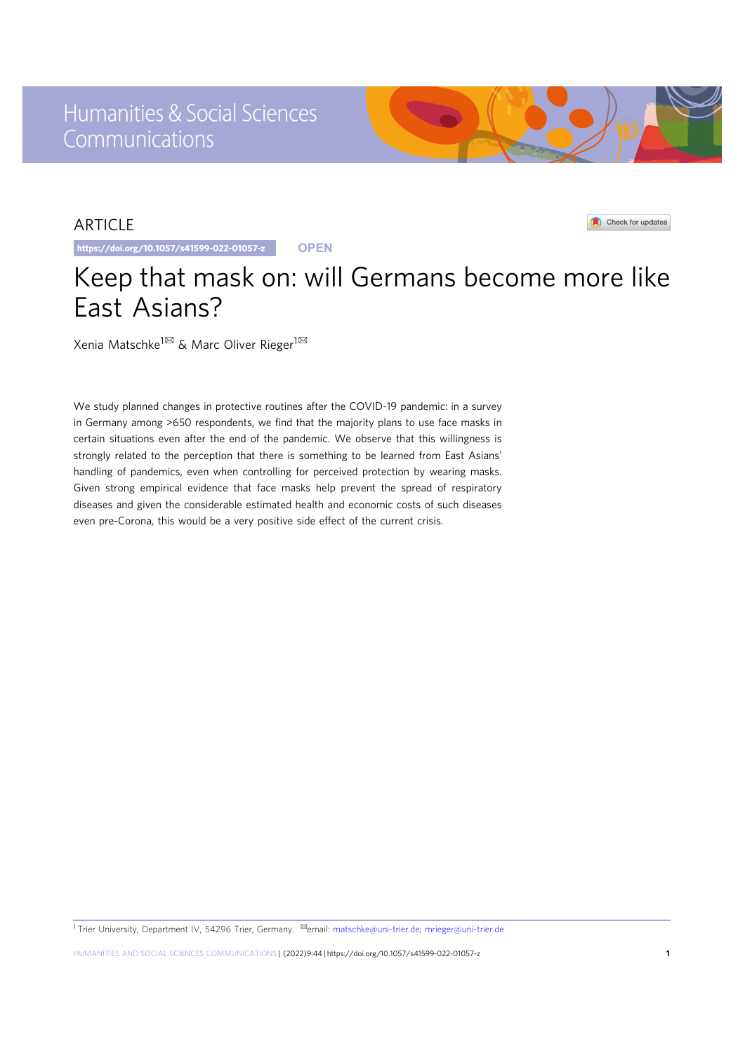# ARTICLE

https://doi.org/10.1057/s41599-022-01057-z **OPEN**

# Keep that mask on: will Germans become more like East Asians?

Xenia Matschke<sup>1⊠</sup> & Marc Oliver Rieger<sup>1⊠</sup>

We study planned changes in protective routines after the COVID-19 pandemic: in a survey in Germany among >650 respondents, we find that the majority plans to use face masks in certain situations even after the end of the pandemic. We observe that this willingness is strongly related to the perception that there is something to be learned from East Asians' handling of pandemics, even when controlling for perceived protection by wearing masks. Given strong empirical evidence that face masks help prevent the spread of respiratory diseases and given the considerable estimated health and economic costs of such diseases even pre-Corona, this would be a very positive side effect of the current crisis.

1Trier University, Department IV, 54296 Trier, Germany. <sup>⊠</sup>email: [matschke@uni-trier.de](mailto:matschke@uni-trier.de); [mrieger@uni-trier.de](mailto:mrieger@uni-trier.de)



Check for updates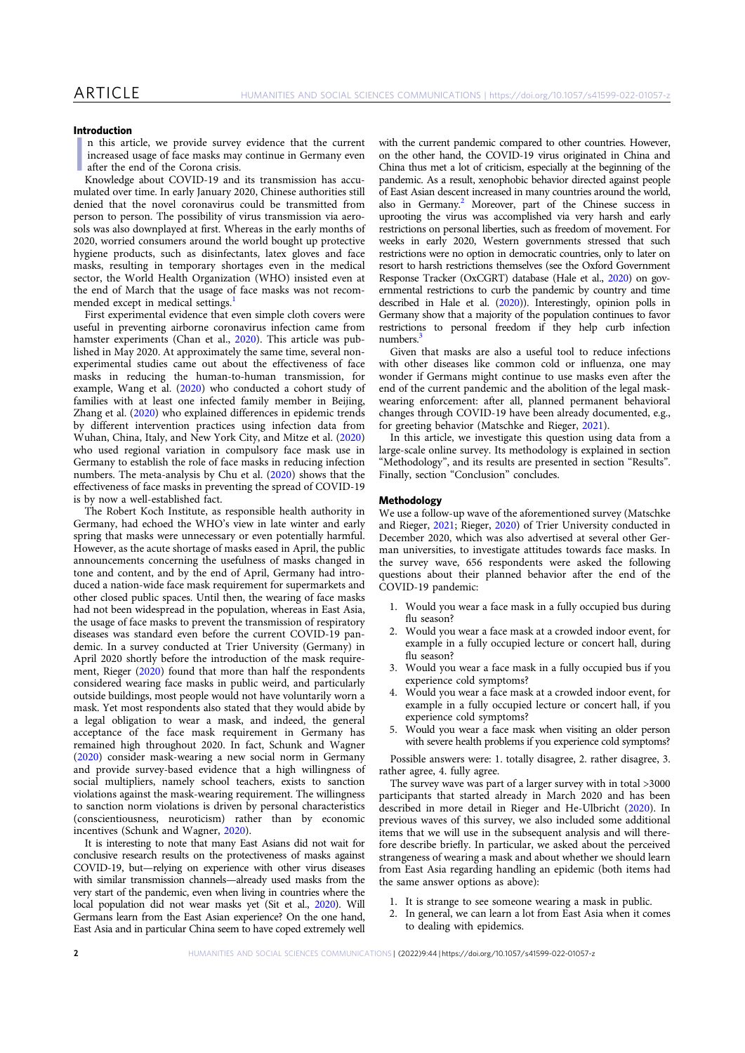# Introduction

 $\mathbb{I}$ n this article, we provide survey evidence that the current increased usage of face masks may continue in Germany even after the end of the Corona crisis.

Knowledge about COVID-19 and its transmission has accumulated over time. In early January 2020, Chinese authorities still denied that the novel coronavirus could be transmitted from person to person. The possibility of virus transmission via aerosols was also downplayed at first. Whereas in the early months of 2020, worried consumers around the world bought up protective hygiene products, such as disinfectants, latex gloves and face masks, resulting in temporary shortages even in the medical sector, the World Health Organization (WHO) insisted even at the end of March that the usage of face masks was not recommended except in medical settings.<sup>1</sup>

First experimental evidence that even simple cloth covers were useful in preventing airborne coronavirus infection came from hamster experiments (Chan et al., 2020). This article was published in May 2020. At approximately the same time, several nonexperimental studies came out about the effectiveness of face masks in reducing the human-to-human transmission, for example, Wang et al. (2020) who conducted a cohort study of families with at least one infected family member in Beijing, Zhang et al. (2020) who explained differences in epidemic trends by different intervention practices using infection data from Wuhan, China, Italy, and New York City, and Mitze et al. (2020) who used regional variation in compulsory face mask use in Germany to establish the role of face masks in reducing infection numbers. The meta-analysis by Chu et al. (2020) shows that the effectiveness of face masks in preventing the spread of COVID-19 is by now a well-established fact.

The Robert Koch Institute, as responsible health authority in Germany, had echoed the WHO's view in late winter and early spring that masks were unnecessary or even potentially harmful. However, as the acute shortage of masks eased in April, the public announcements concerning the usefulness of masks changed in tone and content, and by the end of April, Germany had introduced a nation-wide face mask requirement for supermarkets and other closed public spaces. Until then, the wearing of face masks had not been widespread in the population, whereas in East Asia, the usage of face masks to prevent the transmission of respiratory diseases was standard even before the current COVID-19 pandemic. In a survey conducted at Trier University (Germany) in April 2020 shortly before the introduction of the mask requirement, Rieger (2020) found that more than half the respondents considered wearing face masks in public weird, and particularly outside buildings, most people would not have voluntarily worn a mask. Yet most respondents also stated that they would abide by a legal obligation to wear a mask, and indeed, the general acceptance of the face mask requirement in Germany has remained high throughout 2020. In fact, Schunk and Wagner (2020) consider mask-wearing a new social norm in Germany and provide survey-based evidence that a high willingness of social multipliers, namely school teachers, exists to sanction violations against the mask-wearing requirement. The willingness to sanction norm violations is driven by personal characteristics (conscientiousness, neuroticism) rather than by economic incentives (Schunk and Wagner, 2020).

It is interesting to note that many East Asians did not wait for conclusive research results on the protectiveness of masks against COVID-19, but—relying on experience with other virus diseases with similar transmission channels—already used masks from the very start of the pandemic, even when living in countries where the local population did not wear masks yet (Sit et al., 2020). Will Germans learn from the East Asian experience? On the one hand, East Asia and in particular China seem to have coped extremely well

with the current pandemic compared to other countries. However, on the other hand, the COVID-19 virus originated in China and China thus met a lot of criticism, especially at the beginning of the pandemic. As a result, xenophobic behavior directed against people of East Asian descent increased in many countries around the world, also in Germany.<sup>2</sup> Moreover, part of the Chinese success in uprooting the virus was accomplished via very harsh and early restrictions on personal liberties, such as freedom of movement. For weeks in early 2020, Western governments stressed that such restrictions were no option in democratic countries, only to later on resort to harsh restrictions themselves (see the Oxford Government Response Tracker (OxCGRT) database (Hale et al., 2020) on governmental restrictions to curb the pandemic by country and time described in Hale et al. (2020)). Interestingly, opinion polls in Germany show that a majority of the population continues to favor restrictions to personal freedom if they help curb infection numbers.

Given that masks are also a useful tool to reduce infections with other diseases like common cold or influenza, one may wonder if Germans might continue to use masks even after the end of the current pandemic and the abolition of the legal maskwearing enforcement: after all, planned permanent behavioral changes through COVID-19 have been already documented, e.g., for greeting behavior (Matschke and Rieger, 2021).

In this article, we investigate this question using data from a large-scale online survey. Its methodology is explained in section "Methodology", and its results are presented in section "Results". Finally, section "Conclusion" concludes.

### Methodology

We use a follow-up wave of the aforementioned survey (Matschke and Rieger, 2021; Rieger, 2020) of Trier University conducted in December 2020, which was also advertised at several other German universities, to investigate attitudes towards face masks. In the survey wave, 656 respondents were asked the following questions about their planned behavior after the end of the COVID-19 pandemic:

- 1. Would you wear a face mask in a fully occupied bus during flu season?
- 2. Would you wear a face mask at a crowded indoor event, for example in a fully occupied lecture or concert hall, during flu season?
- 3. Would you wear a face mask in a fully occupied bus if you experience cold symptoms?
- 4. Would you wear a face mask at a crowded indoor event, for example in a fully occupied lecture or concert hall, if you experience cold symptoms?
- 5. Would you wear a face mask when visiting an older person with severe health problems if you experience cold symptoms?

Possible answers were: 1. totally disagree, 2. rather disagree, 3. rather agree, 4. fully agree.

The survey wave was part of a larger survey with in total >3000 participants that started already in March 2020 and has been described in more detail in Rieger and He-Ulbricht (2020). In previous waves of this survey, we also included some additional items that we will use in the subsequent analysis and will therefore describe briefly. In particular, we asked about the perceived strangeness of wearing a mask and about whether we should learn from East Asia regarding handling an epidemic (both items had the same answer options as above):

- 1. It is strange to see someone wearing a mask in public.
- 2. In general, we can learn a lot from East Asia when it comes to dealing with epidemics.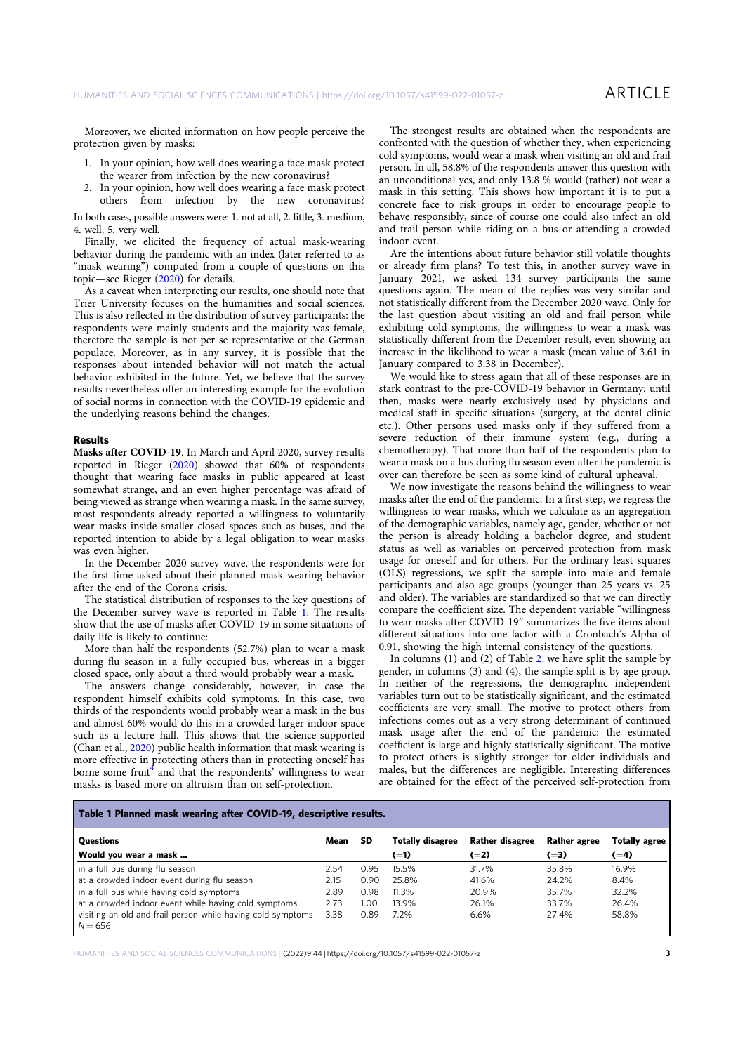Moreover, we elicited information on how people perceive the protection given by masks:

- 1. In your opinion, how well does wearing a face mask protect the wearer from infection by the new coronavirus?
- 2. In your opinion, how well does wearing a face mask protect others from infection by the new coronavirus?

In both cases, possible answers were: 1. not at all, 2. little, 3. medium, 4. well, 5. very well.

Finally, we elicited the frequency of actual mask-wearing behavior during the pandemic with an index (later referred to as "mask wearing") computed from a couple of questions on this topic—see Rieger (2020) for details.

As a caveat when interpreting our results, one should note that Trier University focuses on the humanities and social sciences. This is also reflected in the distribution of survey participants: the respondents were mainly students and the majority was female, therefore the sample is not per se representative of the German populace. Moreover, as in any survey, it is possible that the responses about intended behavior will not match the actual behavior exhibited in the future. Yet, we believe that the survey results nevertheless offer an interesting example for the evolution of social norms in connection with the COVID-19 epidemic and the underlying reasons behind the changes.

#### Results

Masks after COVID-19. In March and April 2020, survey results reported in Rieger (2020) showed that 60% of respondents thought that wearing face masks in public appeared at least somewhat strange, and an even higher percentage was afraid of being viewed as strange when wearing a mask. In the same survey, most respondents already reported a willingness to voluntarily wear masks inside smaller closed spaces such as buses, and the reported intention to abide by a legal obligation to wear masks was even higher.

In the December 2020 survey wave, the respondents were for the first time asked about their planned mask-wearing behavior after the end of the Corona crisis.

The statistical distribution of responses to the key questions of the December survey wave is reported in Table 1. The results show that the use of masks after COVID-19 in some situations of daily life is likely to continue:

More than half the respondents (52.7%) plan to wear a mask during flu season in a fully occupied bus, whereas in a bigger closed space, only about a third would probably wear a mask.

The answers change considerably, however, in case the respondent himself exhibits cold symptoms. In this case, two thirds of the respondents would probably wear a mask in the bus and almost 60% would do this in a crowded larger indoor space such as a lecture hall. This shows that the science-supported (Chan et al., 2020) public health information that mask wearing is more effective in protecting others than in protecting oneself has borne some fruit<sup> $4$ </sup> and that the respondents' willingness to wear masks is based more on altruism than on self-protection.

The strongest results are obtained when the respondents are confronted with the question of whether they, when experiencing cold symptoms, would wear a mask when visiting an old and frail person. In all, 58.8% of the respondents answer this question with an unconditional yes, and only 13.8 % would (rather) not wear a mask in this setting. This shows how important it is to put a concrete face to risk groups in order to encourage people to behave responsibly, since of course one could also infect an old and frail person while riding on a bus or attending a crowded indoor event.

Are the intentions about future behavior still volatile thoughts or already firm plans? To test this, in another survey wave in January 2021, we asked 134 survey participants the same questions again. The mean of the replies was very similar and not statistically different from the December 2020 wave. Only for the last question about visiting an old and frail person while exhibiting cold symptoms, the willingness to wear a mask was statistically different from the December result, even showing an increase in the likelihood to wear a mask (mean value of 3.61 in January compared to 3.38 in December).

We would like to stress again that all of these responses are in stark contrast to the pre-COVID-19 behavior in Germany: until then, masks were nearly exclusively used by physicians and medical staff in specific situations (surgery, at the dental clinic etc.). Other persons used masks only if they suffered from a severe reduction of their immune system (e.g., during a chemotherapy). That more than half of the respondents plan to wear a mask on a bus during flu season even after the pandemic is over can therefore be seen as some kind of cultural upheaval.

We now investigate the reasons behind the willingness to wear masks after the end of the pandemic. In a first step, we regress the willingness to wear masks, which we calculate as an aggregation of the demographic variables, namely age, gender, whether or not the person is already holding a bachelor degree, and student status as well as variables on perceived protection from mask usage for oneself and for others. For the ordinary least squares (OLS) regressions, we split the sample into male and female participants and also age groups (younger than 25 years vs. 25 and older). The variables are standardized so that we can directly compare the coefficient size. The dependent variable "willingness to wear masks after COVID-19" summarizes the five items about different situations into one factor with a Cronbach's Alpha of 0.91, showing the high internal consistency of the questions.

In columns (1) and (2) of Table 2, we have split the sample by gender, in columns (3) and (4), the sample split is by age group. In neither of the regressions, the demographic independent variables turn out to be statistically significant, and the estimated coefficients are very small. The motive to protect others from infections comes out as a very strong determinant of continued mask usage after the end of the pandemic: the estimated coefficient is large and highly statistically significant. The motive to protect others is slightly stronger for older individuals and males, but the differences are negligible. Interesting differences are obtained for the effect of the perceived self-protection from

# Table 1 Planned mask wearing after COVID-19, descriptive results.

| <b>Questions</b>                                                         | Mean | SD   | <b>Totally disagree</b> | <b>Rather disagree</b> | <b>Rather agree</b> | <b>Totally agree</b> |
|--------------------------------------------------------------------------|------|------|-------------------------|------------------------|---------------------|----------------------|
| Would you wear a mask                                                    |      |      | $(=1)$                  | $(=2)$                 | $(=3)$              | $(=4)$               |
| in a full bus during flu season                                          | 2.54 | 0.95 | 15.5%                   | 31.7%                  | 35.8%               | 16.9%                |
| at a crowded indoor event during flu season                              | 2.15 | 0.90 | 25.8%                   | 41.6%                  | 24.2%               | 8.4%                 |
| in a full bus while having cold symptoms                                 | 2.89 | 0.98 | 11.3%                   | 20.9%                  | 35.7%               | 32.2%                |
| at a crowded indoor event while having cold symptoms                     | 2.73 | 1.00 | 13 9%                   | 26.1%                  | 33.7%               | 26.4%                |
| visiting an old and frail person while having cold symptoms<br>$N = 656$ | 3.38 | 0.89 | 7.2%                    | 6.6%                   | 27.4%               | 58.8%                |

HUMANITIES AND SOCIAL SCIENCES COMMUNICATIONS | (2022)9:44 | https://doi.org/10.1057/s41599-022-01057-z 3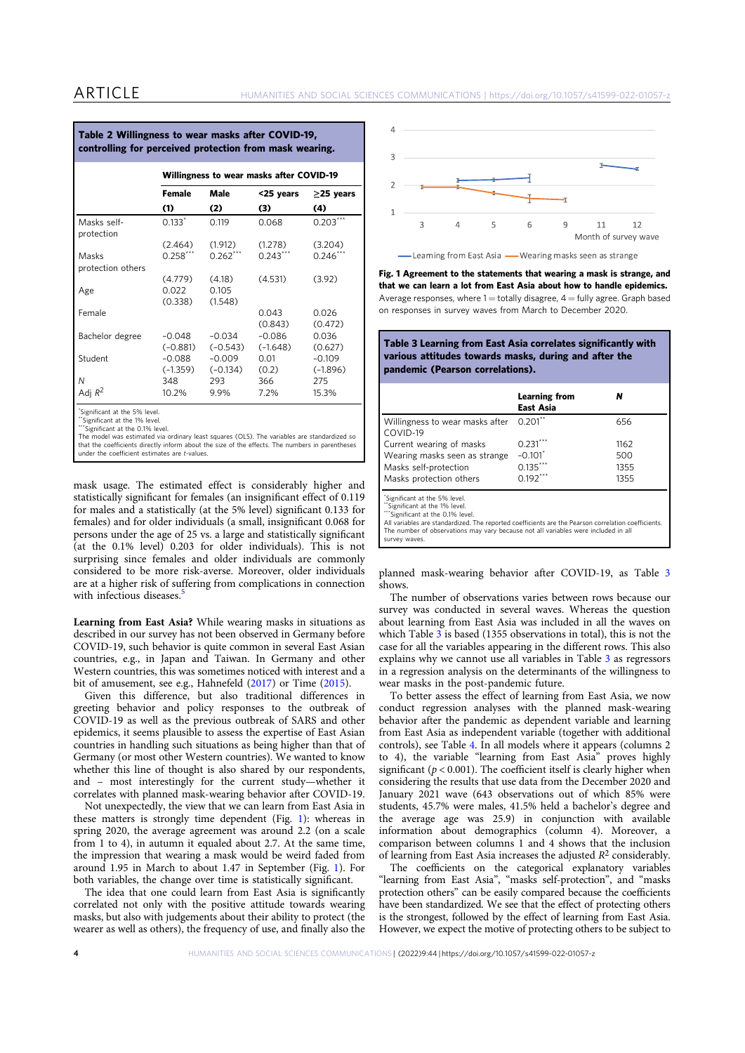|                            | Table 2 Willingness to wear masks after COVID-19,<br>controlling for perceived protection from mask wearing. |                        |                                          |                        |  |  |
|----------------------------|--------------------------------------------------------------------------------------------------------------|------------------------|------------------------------------------|------------------------|--|--|
|                            |                                                                                                              |                        | Willingness to wear masks after COVID-19 |                        |  |  |
|                            | Female                                                                                                       | Male                   | <25 years                                | $\geq$ 25 years        |  |  |
|                            | (1)                                                                                                          | (2)                    | (3)                                      | (4)                    |  |  |
| Masks self-<br>protection  | $0.133*$                                                                                                     | 0.119                  | 0.068                                    | $0.203***$             |  |  |
|                            | (2.464)                                                                                                      | (1.912)                | (1.278)                                  | (3.204)                |  |  |
| Masks<br>protection others | $0.258***$                                                                                                   | $0.262***$             | $0.243***$                               | $0.246***$             |  |  |
|                            | (4.779)                                                                                                      | (4.18)                 | (4.531)                                  | (3.92)                 |  |  |
| Age                        | 0.022<br>(0.338)                                                                                             | 0.105<br>(1.548)       |                                          |                        |  |  |
| Female                     |                                                                                                              |                        | 0.043<br>(0.843)                         | 0.026<br>(0.472)       |  |  |
| Bachelor degree            | $-0.048$<br>$(-0.881)$                                                                                       | $-0.034$<br>$(-0.543)$ | $-0.086$<br>$(-1.648)$                   | 0.036<br>(0.627)       |  |  |
| Student                    | $-0.088$<br>$(-1.359)$                                                                                       | $-0.009$<br>$(-0.134)$ | 0.01<br>(0.2)                            | $-0.109$<br>$(-1.896)$ |  |  |
| Ν                          | 348                                                                                                          | 293                    | 366                                      | 275                    |  |  |
| Adj $R^2$                  | 10.2%                                                                                                        | 9.9%                   | 7.2%                                     | 15.3%                  |  |  |

\*Significant at the 5% level.

\*Significant at the 1% level. \*Significant at the 0.1% level

The model was estimated via ordinary least squares (OLS). The variables are standardized so<br>that the coefficients directly inform about the size of the effects. The numbers in parentheses<br>under the coefficient estimates ar

mask usage. The estimated effect is considerably higher and statistically significant for females (an insignificant effect of 0.119 for males and a statistically (at the 5% level) significant 0.133 for females) and for older individuals (a small, insignificant 0.068 for persons under the age of 25 vs. a large and statistically significant (at the 0.1% level) 0.203 for older individuals). This is not surprising since females and older individuals are commonly considered to be more risk-averse. Moreover, older individuals are at a higher risk of suffering from complications in connection with infectious diseases.<sup>5</sup>

Learning from East Asia? While wearing masks in situations as described in our survey has not been observed in Germany before COVID-19, such behavior is quite common in several East Asian countries, e.g., in Japan and Taiwan. In Germany and other Western countries, this was sometimes noticed with interest and a bit of amusement, see e.g., Hahnefeld (2017) or Time (2015).

Given this difference, but also traditional differences in greeting behavior and policy responses to the outbreak of COVID-19 as well as the previous outbreak of SARS and other epidemics, it seems plausible to assess the expertise of East Asian countries in handling such situations as being higher than that of Germany (or most other Western countries). We wanted to know whether this line of thought is also shared by our respondents, and – most interestingly for the current study—whether it correlates with planned mask-wearing behavior after COVID-19.

Not unexpectedly, the view that we can learn from East Asia in these matters is strongly time dependent (Fig. 1): whereas in spring 2020, the average agreement was around 2.2 (on a scale from 1 to 4), in autumn it equaled about 2.7. At the same time, the impression that wearing a mask would be weird faded from around 1.95 in March to about 1.47 in September (Fig. 1). For both variables, the change over time is statistically significant.

The idea that one could learn from East Asia is significantly correlated not only with the positive attitude towards wearing masks, but also with judgements about their ability to protect (the wearer as well as others), the frequency of use, and finally also the



Fig. 1 Agreement to the statements that wearing a mask is strange, and that we can learn a lot from East Asia about how to handle epidemics. Average responses, where  $1 =$  totally disagree,  $4 =$  fully agree. Graph based on responses in survey waves from March to December 2020.

Table 3 Learning from East Asia correlates significantly with various attitudes towards masks, during and after the pandemic (Pearson correlations).

|                                                     | <b>Learning from</b><br><b>East Asia</b> |      |
|-----------------------------------------------------|------------------------------------------|------|
| Willingness to wear masks after 0.201**<br>COVID-19 |                                          | 656  |
| Current wearing of masks                            | $0.231***$                               | 1162 |
| Wearing masks seen as strange                       | $-0.101$ <sup>*</sup>                    | 500  |
| Masks self-protection                               | $0.135***$                               | 1355 |
| Masks protection others                             | $0.192***$                               | 1355 |

\*Significant at the 5% level.

"Significant at the 1% level  $\check{\cdot}$ Significant at the 0.1% level

All variables are standardized. The reported coefficients are the Pearson correlation coefficients.

The number of observations may vary because not all variables were included in all survey waves

planned mask-wearing behavior after COVID-19, as Table 3 shows.

The number of observations varies between rows because our survey was conducted in several waves. Whereas the question about learning from East Asia was included in all the waves on which Table 3 is based (1355 observations in total), this is not the case for all the variables appearing in the different rows. This also explains why we cannot use all variables in Table 3 as regressors in a regression analysis on the determinants of the willingness to wear masks in the post-pandemic future.

To better assess the effect of learning from East Asia, we now conduct regression analyses with the planned mask-wearing behavior after the pandemic as dependent variable and learning from East Asia as independent variable (together with additional controls), see Table 4. In all models where it appears (columns 2 to 4), the variable "learning from East Asia" proves highly significant ( $p < 0.001$ ). The coefficient itself is clearly higher when considering the results that use data from the December 2020 and January 2021 wave (643 observations out of which 85% were students, 45.7% were males, 41.5% held a bachelor's degree and the average age was 25.9) in conjunction with available information about demographics (column 4). Moreover, a comparison between columns 1 and 4 shows that the inclusion of learning from East Asia increases the adjusted  $R^2$  considerably.

The coefficients on the categorical explanatory variables "learning from East Asia", "masks self-protection", and "masks protection others" can be easily compared because the coefficients have been standardized. We see that the effect of protecting others is the strongest, followed by the effect of learning from East Asia. However, we expect the motive of protecting others to be subject to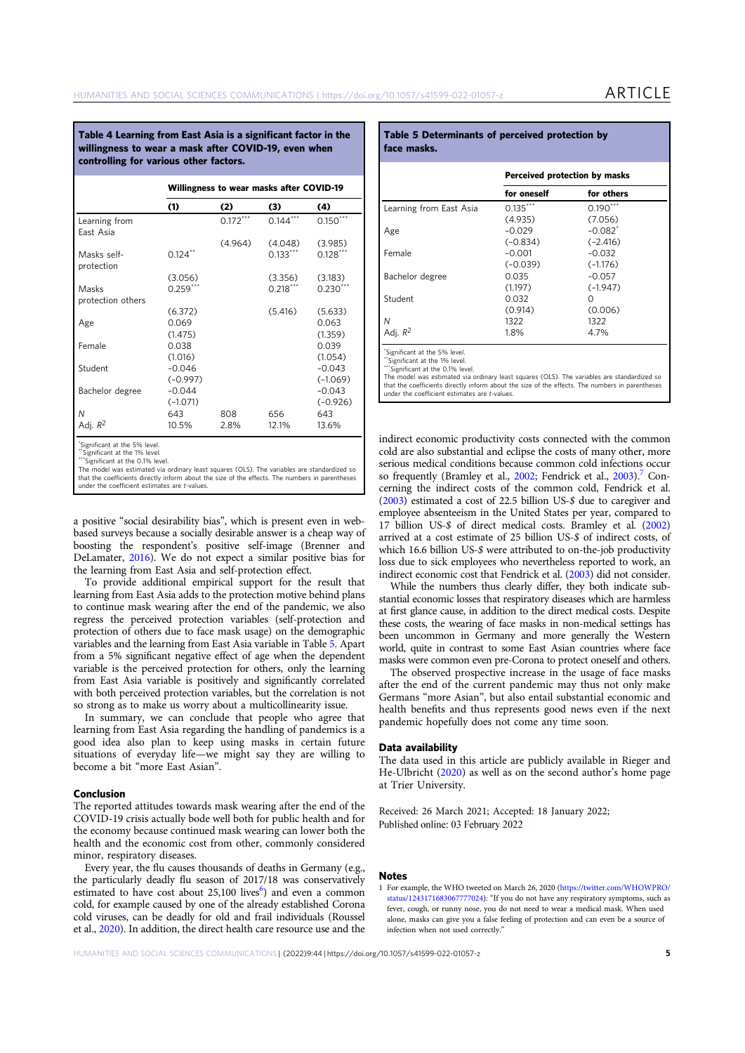Table 4 Learning from East Asia is a significant factor in the willingness to wear a mask after COVID-19, even when controlling for various other factors.

|                            |            | Willingness to wear masks after COVID-19 |            |            |
|----------------------------|------------|------------------------------------------|------------|------------|
|                            | (1)        | (2)                                      | (3)        | (4)        |
| Learning from<br>East Asia |            | $0.172***$                               | $0.144***$ | $0.150***$ |
|                            |            | (4.964)                                  | (4.048)    | (3.985)    |
| Masks self-<br>protection  | $0.124$ ** |                                          | $0.133***$ | $0.128***$ |
|                            | (3.056)    |                                          | (3.356)    | (3.183)    |
| Masks                      | $0.259***$ |                                          | $0.218***$ | $0.230***$ |
| protection others          |            |                                          |            |            |
|                            | (6.372)    |                                          | (5.416)    | (5.633)    |
| Age                        | 0.069      |                                          |            | 0.063      |
|                            | (1.475)    |                                          |            | (1.359)    |
| Female                     | 0.038      |                                          |            | 0.039      |
|                            | (1.016)    |                                          |            | (1.054)    |
| Student                    | $-0.046$   |                                          |            | $-0.043$   |
|                            | $(-0.997)$ |                                          |            | $(-1.069)$ |
| Bachelor degree            | $-0.044$   |                                          |            | $-0.043$   |
|                            | $(-1.071)$ |                                          |            | $(-0.926)$ |
| N                          | 643        | 808                                      | 656        | 643        |
| Adj. R <sup>2</sup>        | 10.5%      | 2.8%                                     | 12.1%      | 13.6%      |
| the con-                   |            |                                          |            |            |

\*Significant at the 5% level.

\*Significant at the 1% level.

\*\*\*Significant at the 0.1% level.<br>The model was estimated via

The model was estimated via ordinary least squares (OLS). The variables are standardized so that the coefficients directly inform about the size of the effects. The numbers in parentheses under the coefficient estimates are t-values.

a positive "social desirability bias", which is present even in webbased surveys because a socially desirable answer is a cheap way of boosting the respondent's positive self-image (Brenner and DeLamater, 2016). We do not expect a similar positive bias for the learning from East Asia and self-protection effect.

To provide additional empirical support for the result that learning from East Asia adds to the protection motive behind plans to continue mask wearing after the end of the pandemic, we also regress the perceived protection variables (self-protection and protection of others due to face mask usage) on the demographic variables and the learning from East Asia variable in Table 5. Apart from a 5% significant negative effect of age when the dependent variable is the perceived protection for others, only the learning from East Asia variable is positively and significantly correlated with both perceived protection variables, but the correlation is not so strong as to make us worry about a multicollinearity issue.

In summary, we can conclude that people who agree that learning from East Asia regarding the handling of pandemics is a good idea also plan to keep using masks in certain future situations of everyday life—we might say they are willing to become a bit "more East Asian".

# Conclusion

The reported attitudes towards mask wearing after the end of the COVID-19 crisis actually bode well both for public health and for the economy because continued mask wearing can lower both the health and the economic cost from other, commonly considered minor, respiratory diseases.

Every year, the flu causes thousands of deaths in Germany (e.g., the particularly deadly flu season of 2017/18 was conservatively estimated to have cost about 25,100 lives<sup>6</sup>) and even a common cold, for example caused by one of the already established Corona cold viruses, can be deadly for old and frail individuals (Roussel et al., 2020). In addition, the direct health care resource use and the

# Table 5 Determinants of perceived protection by face masks.

|                         | Perceived protection by masks |                       |  |
|-------------------------|-------------------------------|-----------------------|--|
|                         | for oneself                   | for others            |  |
| Learning from East Asia | $0.135***$                    | $0.190***$            |  |
|                         | (4.935)                       | (7.056)               |  |
| Age                     | $-0.029$                      | $-0.082$ <sup>*</sup> |  |
|                         | $(-0.834)$                    | $(-2.416)$            |  |
| Female                  | $-0.001$                      | $-0.032$              |  |
|                         | $(-0.039)$                    | $(-1.176)$            |  |
| Bachelor degree         | 0.035                         | $-0.057$              |  |
|                         | (1.197)                       | $(-1.947)$            |  |
| Student                 | 0.032                         | Ω                     |  |
|                         | (0.914)                       | (0.006)               |  |
|                         | 1322                          | 1322                  |  |
| Adi.                    | 1.8%                          | 4.7%                  |  |

\*Significant at the 5% level.

\*\*Significant at the 1% level. \*\*\*Significant at the 0.1% level.

The model was estimated via ordinary least squares (OLS). The variables are standardized so that the coefficients directly inform about the size of the effects. The numbers in parentheses under the coefficient estimates are t-values.

indirect economic productivity costs connected with the common cold are also substantial and eclipse the costs of many other, more serious medical conditions because common cold infections occur so frequently (Bramley et al., 2002; Fendrick et al., 2003).<sup>7</sup> Concerning the indirect costs of the common cold, Fendrick et al. (2003) estimated a cost of 22.5 billion US-\$ due to caregiver and employee absenteeism in the United States per year, compared to 17 billion US-\$ of direct medical costs. Bramley et al. (2002) arrived at a cost estimate of 25 billion US-\$ of indirect costs, of which 16.6 billion US-\$ were attributed to on-the-job productivity loss due to sick employees who nevertheless reported to work, an indirect economic cost that Fendrick et al. (2003) did not consider.

While the numbers thus clearly differ, they both indicate substantial economic losses that respiratory diseases which are harmless at first glance cause, in addition to the direct medical costs. Despite these costs, the wearing of face masks in non-medical settings has been uncommon in Germany and more generally the Western world, quite in contrast to some East Asian countries where face masks were common even pre-Corona to protect oneself and others.

The observed prospective increase in the usage of face masks after the end of the current pandemic may thus not only make Germans "more Asian", but also entail substantial economic and health benefits and thus represents good news even if the next pandemic hopefully does not come any time soon.

# Data availability

The data used in this article are publicly available in Rieger and He-Ulbricht (2020) as well as on the second author's home page at Trier University.

Received: 26 March 2021; Accepted: 18 January 2022; Published online: 03 February 2022

#### **Notes**

1 For example, the WHO tweeted on March 26, 2020 ([https://twitter.com/WHOWPRO/](https://twitter.com/WHOWPRO/status/1243171683067777024) [status/1243171683067777024](https://twitter.com/WHOWPRO/status/1243171683067777024)): "If you do not have any respiratory symptoms, such as fever, cough, or runny nose, you do not need to wear a medical mask. When used alone, masks can give you a false feeling of protection and can even be a source of infection when not used correctly."

HUMANITIES AND SOCIAL SCIENCES COMMUNICATIONS |(2022)9:44 | https://doi.org/10.1057/s41599-022-01057-z 5